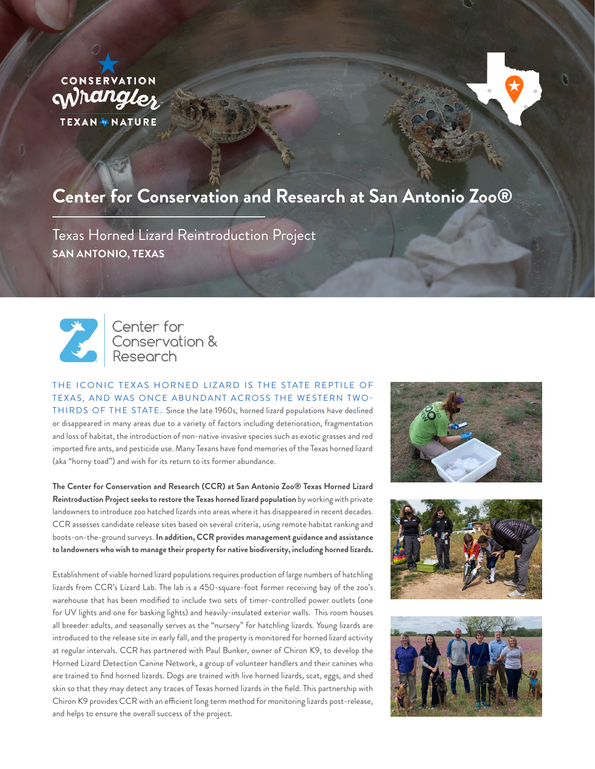

# **Center for Conservation and Research at San Antonio Zoo®**

Texas Horned Lizard Reintroduction Project **SAN ANTONIO, TEXAS**



Center for Center for<br>Conservation &<br>Research

THE ICONIC TEXAS HORNED LIZARD IS THE STATE REPTILE OF TEXAS, AND WAS ONCE ABUNDANT ACROSS THE WESTERN TWO-THIRDS OF THE STATE. Since the late 1960s, horned lizard populations have declined or disappeared in many areas due to a variety of factors including deterioration, fragmentation and loss of habitat, the introduction of non-native invasive species such as exotic grasses and red imported fire ants, and pesticide use. Many Texans have fond memories of the Texas horned lizard (aka "horny toad") and wish for its return to its former abundance.

**The Center for Conservation and Research (CCR) at San Antonio Zoo® Texas Horned Lizard Reintroduction Project seeks to restore the Texas horned lizard population** by working with private landowners to introduce zoo hatched lizards into areas where it has disappeared in recent decades. CCR assesses candidate release sites based on several criteria, using remote habitat ranking and boots-on-the-ground surveys. **In addition, CCR provides management guidance and assistance to landowners who wish to manage their property for native biodiversity, including horned lizards.**

Establishment of viable horned lizard populations requires production of large numbers of hatchling lizards from CCR's Lizard Lab. The lab is a 450-square-foot former receiving bay of the zoo's warehouse that has been modified to include two sets of timer-controlled power outlets (one for UV lights and one for basking lights) and heavily-insulated exterior walls. This room houses all breeder adults, and seasonally serves as the "nursery" for hatchling lizards. Young lizards are introduced to the release site in early fall, and the property is monitored for horned lizard activity at regular intervals. CCR has partnered with Paul Bunker, owner of Chiron K9, to develop the Horned Lizard Detection Canine Network, a group of volunteer handlers and their canines who are trained to find horned lizards. Dogs are trained with live horned lizards, scat, eggs, and shed skin so that they may detect any traces of Texas horned lizards in the field. This partnership with Chiron K9 provides CCR with an efficient long term method for monitoring lizards post-release, and helps to ensure the overall success of the project.